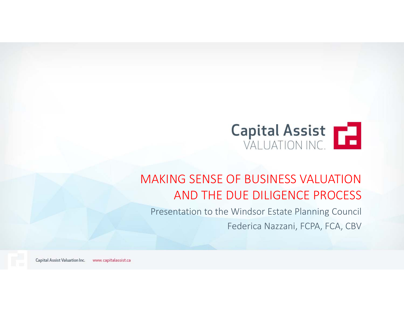

### MAKING SENSE OF BUSINESS VALUATION AND THE DUE DILIGENCE PROCESS

Presentation to the Windsor Estate Planning Council

Federica Nazzani, FCPA, FCA, CBV

Capital Assist Valuation Inc. www.capitalassist.ca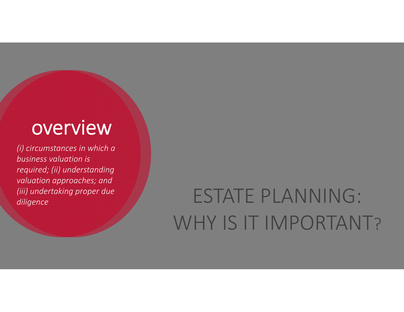# overview

*(i) circumstances in which a business valuation is required; (ii) understanding valuation approaches; and (iii) undertaking proper due* 

# *(iii)* undertaking proper due<br>diligence<br>diligence WHY IS IT IMPORTANT?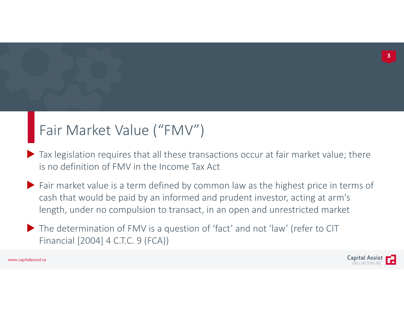### Fair Market Value ("FMV")

- Tax legislation requires that all these transactions occur at fair market value; there is no definition of FMV in the Income Tax Act
- Fair market value is <sup>a</sup> term defined by common law as the highest price in terms of cash that would be paid by an informed and prudent investor, acting at arm's length, under no compulsion to transact, in an open and unrestricted market
- The determination of FMV is a question of 'fact' and not 'law' (refer to CIT Financial [2004] 4 C.T.C. 9 (FCA))

www.capitalassist.ca

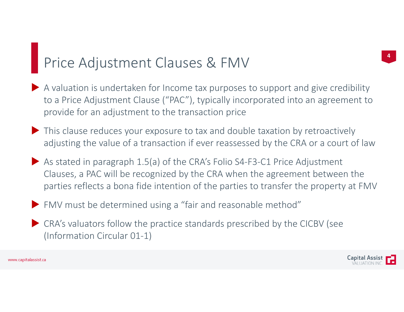### Price Adjustment Clauses & FMV

- <sup>A</sup> valuation is undertaken for Income tax purposes to support and give credibility to <sup>a</sup> Price Adjustment Clause ("PAC"), typically incorporated into an agreement to provide for an adjustment to the transaction price
- This clause reduces your exposure to tax and double taxation by retroactively adjusting the value of <sup>a</sup> transaction if ever reassessed by the CRA or <sup>a</sup> court of law
- ◆ As stated in paragraph 1.5(a) of the CRA's Folio S4-F3-C1 Price Adjustment Clauses, <sup>a</sup> PAC will be recognized by the CRA when the agreement between the parties reflects <sup>a</sup> bona fide intention of the parties to transfer the property at FMV
- FMV must be determined using <sup>a</sup> "fair and reasonable method"
- CRA's valuators follow the practice standards prescribed by the CICBV (see (Information Circular 01‐1)

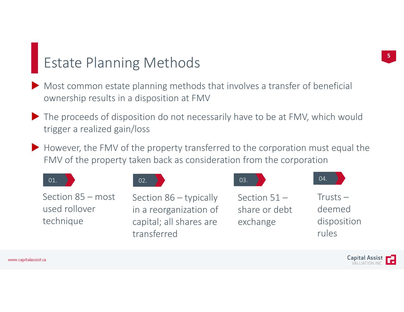### Estate Planning Methods

- Most common estate planning methods that involves <sup>a</sup> transfer of beneficial ownership results in <sup>a</sup> disposition at FMV
- The proceeds of disposition do not necessarily have to be at FMV, which would trigger <sup>a</sup> realized gain/loss
- However, the FMV of the property transferred to the corporation must equal the FMV of the property taken back as consideration from the corporation

| 01.                                                      | 02.                                                                                          | 03.                                         | 04.                                          |
|----------------------------------------------------------|----------------------------------------------------------------------------------------------|---------------------------------------------|----------------------------------------------|
| Section $85 - \text{most}$<br>used rollover<br>technique | Section $86 -$ typically<br>in a reorganization of<br>capital; all shares are<br>transferred | Section $51 -$<br>share or debt<br>exchange | $Trusts -$<br>deemed<br>disposition<br>rules |

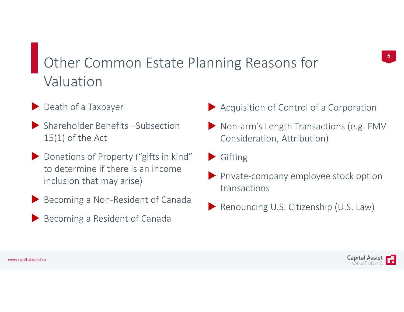## Other Common Estate Planning Reasons for Valuation

- Death of a Taxpayer
- Shareholder Benefits –Subsection 15(1) of the Act
- Donations of Property ("gifts in kind" to determine if there is an income inclusion that may arise)
- Becoming <sup>a</sup> Non‐Resident of Canada
- Becoming a Resident of Canada
- Acquisition of Control of <sup>a</sup> Corporation
- ▶ Non-arm's Length Transactions (e.g. FMV Consideration, Attribution)
- Gifting
- ▶ Private-company employee stock option transactions
- Renouncing U.S. Citizenship (U.S. Law)

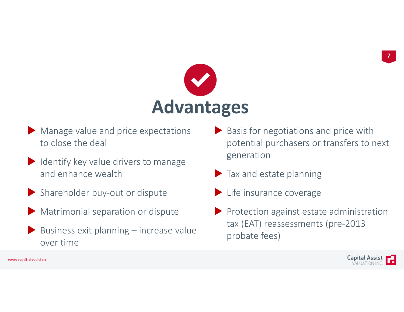

- Manage value and price expectations to close the deal
- $\blacktriangleright$  Identify key value drivers to manage and enhance wealth
- ▶ Shareholder buy-out or dispute
- **Matrimonial separation or dispute**
- $\blacktriangleright$  Business exit planning increase value over time
- Basis for negotiations and price with potential purchasers or transfers to next generation
- Tax and estate planning
- Life insurance coverage
- $\blacktriangleright$  Protection against estate administration tax (EAT) reassessments (pre‐2013 probate fees)

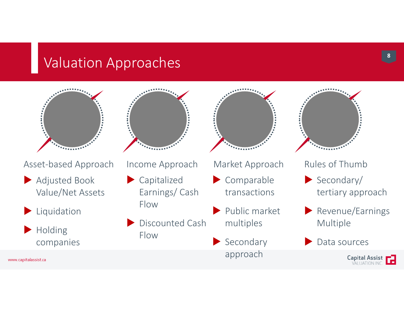### Valuation Approaches



Asset‐based Approach

- Adjusted Book Value/Net Assets
- Liquidation

 Holding companies *ARREST* 

Income Approach

- Capitalized Earnings/ Cash Flow
- Discounted Cash Flow



### Market Approach

- Comparable transactions
- Public market multiples
- Secondary approach



### Rules of Thumb

- Secondary/ tertiary approach
- Revenue/Earnings Multiple
- Data sources



**8**

www.capitalassist.ca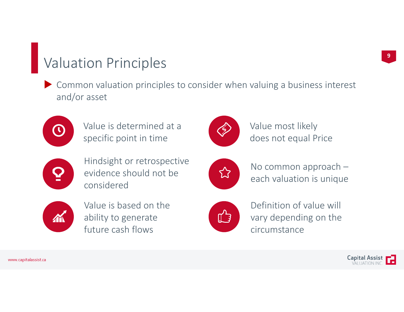### Valuation Principles

 Common valuation principles to consider when valuing <sup>a</sup> business interest and/or asset



Value is determined at a specific point in time



Hindsight or retrospective evidence should not be considered



Value is based on the ability to generate future cash flows



Value most likely does not equal Price



No common approach – each valuation is unique



Definition of value will vary depending on the circumstance

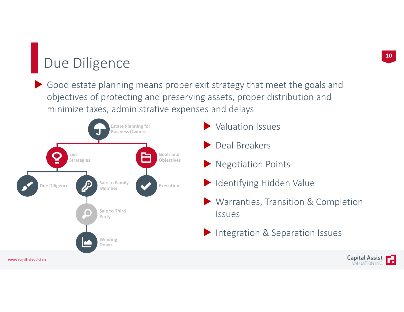## Due Diligence

 Good estate planning means proper exit strategy that meet the goals and objectives of protecting and preserving assets, proper distribution and minimize taxes, administrative expenses and delays

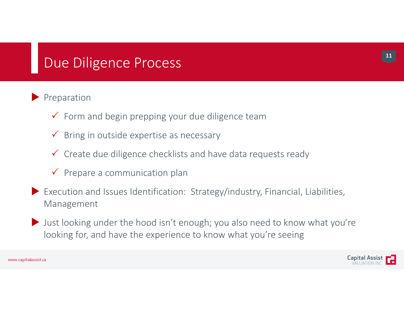### Due Diligence Process

### $\blacktriangleright$  Preparation

- $\checkmark$  Form and begin prepping your due diligence team
- $\checkmark$  Bring in outside expertise as necessary
- $\checkmark$  Create due diligence checklists and have data requests ready
- $\checkmark$  Prepare a communication plan
- Execution and Issues Identification: Strategy/industry, Financial, Liabilities, Management
- I Just looking under the hood isn't enough; you also need to know what you're looking for, and have the experience to know what you're seeing



**11**